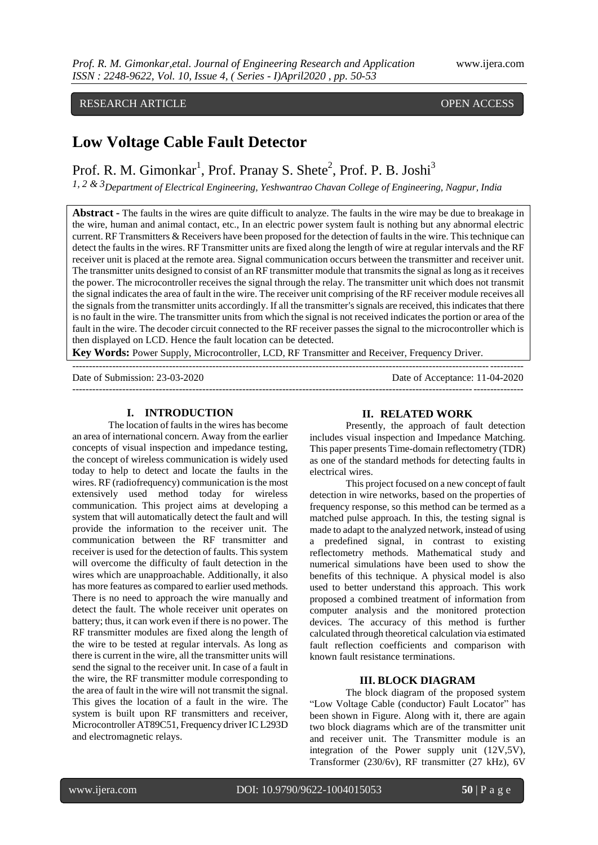# RESEARCH ARTICLE OPEN ACCESS

# **Low Voltage Cable Fault Detector**

Prof. R. M. Gimonkar<sup>1</sup>, Prof. Pranay S. Shete<sup>2</sup>, Prof. P. B. Joshi<sup>3</sup>

*1, 2 & 3Department of Electrical Engineering, Yeshwantrao Chavan College of Engineering, Nagpur, India*

**Abstract -** The faults in the wires are quite difficult to analyze. The faults in the wire may be due to breakage in the wire, human and animal contact, etc., In an electric power system fault is nothing but any abnormal electric current. RF Transmitters & Receivers have been proposed for the detection of faults in the wire. This technique can detect the faults in the wires. RF Transmitter units are fixed along the length of wire at regular intervals and the RF receiver unit is placed at the remote area. Signal communication occurs between the transmitter and receiver unit. The transmitter units designed to consist of an RF transmitter module that transmits the signal as long as it receives the power. The microcontroller receives the signal through the relay. The transmitter unit which does not transmit the signal indicates the area of fault in the wire. The receiver unit comprising of the RF receiver module receives all the signals from the transmitter units accordingly. If all the transmitter's signals are received, this indicates that there is no fault in the wire. The transmitter units from which the signal is not received indicates the portion or area of the fault in the wire. The decoder circuit connected to the RF receiver passes the signal to the microcontroller which is then displayed on LCD. Hence the fault location can be detected.

---------------------------------------------------------------------------------------------------------------------------------------

**Key Words:** Power Supply, Microcontroller, LCD, RF Transmitter and Receiver, Frequency Driver.

Date of Submission: 23-03-2020 Date of Acceptance: 11-04-2020

# ---------------------------------------------------------------------------------------------------------------------------------------

#### **I. INTRODUCTION**

The location of faults in the wires has become an area of international concern. Away from the earlier concepts of visual inspection and impedance testing, the concept of wireless communication is widely used today to help to detect and locate the faults in the wires. RF (radiofrequency) communication is the most extensively used method today for wireless communication. This project aims at developing a system that will automatically detect the fault and will provide the information to the receiver unit. The communication between the RF transmitter and receiver is used for the detection of faults. This system will overcome the difficulty of fault detection in the wires which are unapproachable. Additionally, it also has more features as compared to earlier used methods. There is no need to approach the wire manually and detect the fault. The whole receiver unit operates on battery; thus, it can work even if there is no power. The RF transmitter modules are fixed along the length of the wire to be tested at regular intervals. As long as there is current in the wire, all the transmitter units will send the signal to the receiver unit. In case of a fault in the wire, the RF transmitter module corresponding to the area of fault in the wire will not transmit the signal. This gives the location of a fault in the wire. The system is built upon RF transmitters and receiver, Microcontroller AT89C51, Frequency driver IC L293D and electromagnetic relays.

#### **II. RELATED WORK**

Presently, the approach of fault detection includes visual inspection and Impedance Matching. This paper presents Time-domain reflectometry (TDR) as one of the standard methods for detecting faults in electrical wires.

This project focused on a new concept of fault detection in wire networks, based on the properties of frequency response, so this method can be termed as a matched pulse approach. In this, the testing signal is made to adapt to the analyzed network, instead of using a predefined signal, in contrast to existing reflectometry methods. Mathematical study and numerical simulations have been used to show the benefits of this technique. A physical model is also used to better understand this approach. This work proposed a combined treatment of information from computer analysis and the monitored protection devices. The accuracy of this method is further calculated through theoretical calculation via estimated fault reflection coefficients and comparison with known fault resistance terminations.

#### **III. BLOCK DIAGRAM**

The block diagram of the proposed system "Low Voltage Cable (conductor) Fault Locator" has been shown in Figure. Along with it, there are again two block diagrams which are of the transmitter unit and receiver unit. The Transmitter module is an integration of the Power supply unit (12V,5V), Transformer (230/6v), RF transmitter (27 kHz), 6V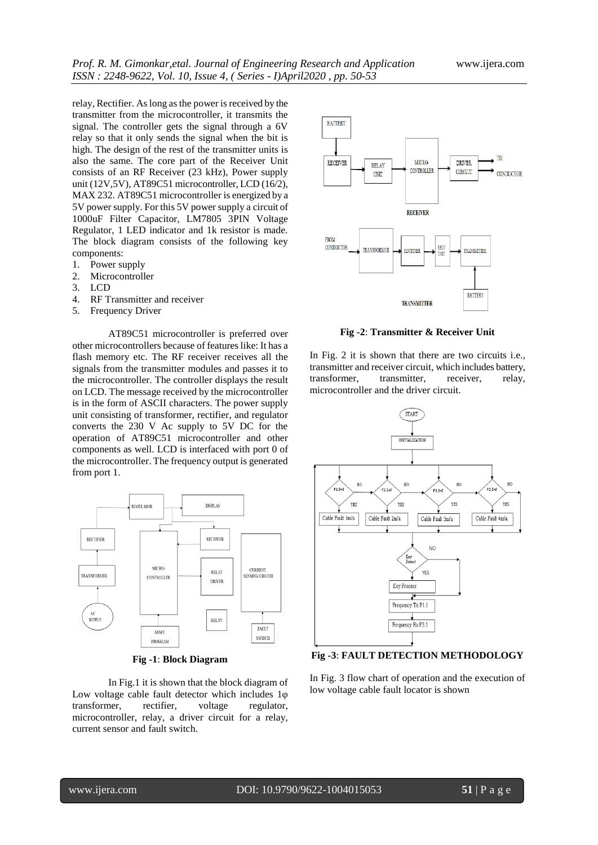relay, Rectifier. As long as the power is received by the transmitter from the microcontroller, it transmits the signal. The controller gets the signal through a 6V relay so that it only sends the signal when the bit is high. The design of the rest of the transmitter units is also the same. The core part of the Receiver Unit consists of an RF Receiver (23 kHz), Power supply unit (12V,5V), AT89C51 microcontroller, LCD (16/2), MAX 232. AT89C51 microcontroller is energized by a 5V power supply. For this 5V power supply a circuit of 1000uF Filter Capacitor, LM7805 3PIN Voltage Regulator, 1 LED indicator and 1k resistor is made. The block diagram consists of the following key components:

- 1. Power supply
- 2. Microcontroller
- 3. LCD
- 4. RF Transmitter and receiver
- 5. Frequency Driver

AT89C51 microcontroller is preferred over other microcontrollers because of features like: It has a flash memory etc. The RF receiver receives all the signals from the transmitter modules and passes it to the microcontroller. The controller displays the result on LCD. The message received by the microcontroller is in the form of ASCII characters. The power supply unit consisting of transformer, rectifier, and regulator converts the 230 V Ac supply to 5V DC for the operation of AT89C51 microcontroller and other components as well. LCD is interfaced with port 0 of the microcontroller. The frequency output is generated from port 1.



**Fig -1**: **Block Diagram**

In Fig.1 it is shown that the block diagram of Low voltage cable fault detector which includes 1φ transformer, rectifier, voltage regulator, microcontroller, relay, a driver circuit for a relay, current sensor and fault switch.



**Fig -2**: **Transmitter & Receiver Unit**

In Fig. 2 it is shown that there are two circuits i.e., transmitter and receiver circuit, which includes battery,<br>transformer. transmitter. receiver. relay. transformer, transmitter, receiver, relay, microcontroller and the driver circuit.



**Fig -3**: **FAULT DETECTION METHODOLOGY**

In Fig. 3 flow chart of operation and the execution of low voltage cable fault locator is shown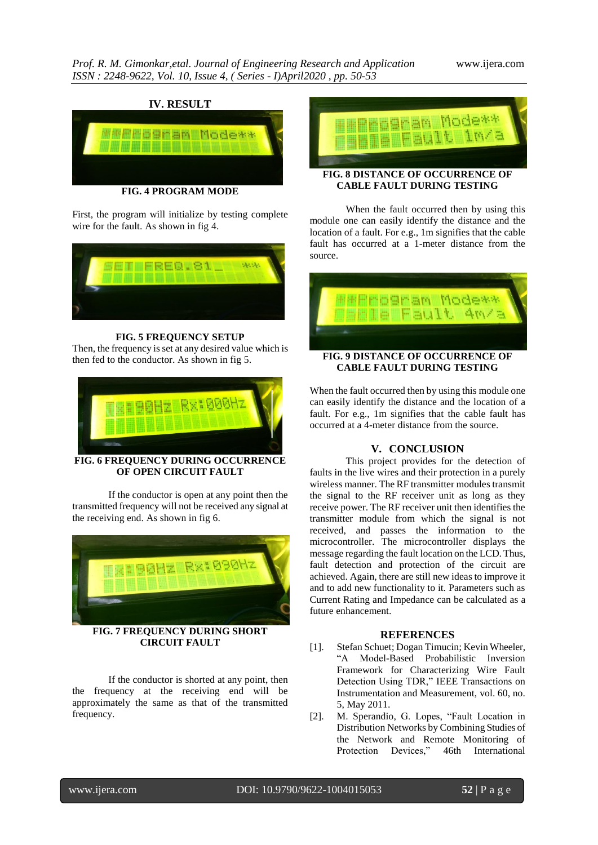

**FIG. 4 PROGRAM MODE**

First, the program will initialize by testing complete wire for the fault. As shown in fig 4.



#### **FIG. 5 FREQUENCY SETUP**

Then, the frequency is set at any desired value which is then fed to the conductor. As shown in fig 5.



**FIG. 6 FREQUENCY DURING OCCURRENCE OF OPEN CIRCUIT FAULT**

If the conductor is open at any point then the transmitted frequency will not be received any signal at the receiving end. As shown in fig 6.



**FIG. 7 FREQUENCY DURING SHORT CIRCUIT FAULT**

If the conductor is shorted at any point, then the frequency at the receiving end will be approximately the same as that of the transmitted frequency.



### **FIG. 8 DISTANCE OF OCCURRENCE OF CABLE FAULT DURING TESTING**

When the fault occurred then by using this module one can easily identify the distance and the location of a fault. For e.g., 1m signifies that the cable fault has occurred at a 1-meter distance from the source.



### When the fault occurred then by using this module one can easily identify the distance and the location of a fault. For e.g., 1m signifies that the cable fault has occurred at a 4-meter distance from the source.

## **V. CONCLUSION**

This project provides for the detection of faults in the live wires and their protection in a purely wireless manner. The RF transmitter modules transmit the signal to the RF receiver unit as long as they receive power. The RF receiver unit then identifies the transmitter module from which the signal is not received, and passes the information to the microcontroller. The microcontroller displays the message regarding the fault location on the LCD. Thus, fault detection and protection of the circuit are achieved. Again, there are still new ideas to improve it and to add new functionality to it. Parameters such as Current Rating and Impedance can be calculated as a future enhancement.

#### **REFERENCES**

- [1]. Stefan Schuet; Dogan Timucin; Kevin Wheeler, "A Model-Based Probabilistic Inversion Framework for Characterizing Wire Fault Detection Using TDR," IEEE Transactions on Instrumentation and Measurement, vol. 60, no. 5, May 2011.
- [2]. M. Sperandio, G. Lopes, "Fault Location in Distribution Networks by Combining Studies of the Network and Remote Monitoring of Protection Devices," 46th International